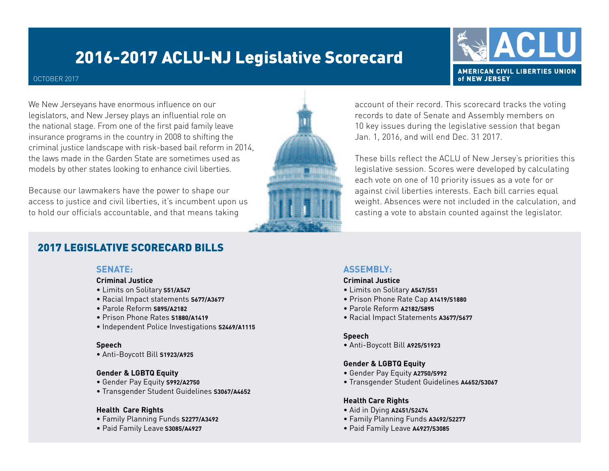# 2016-2017 ACLU-NJ Legislative Scorecard

#### OCTOBER 2017

We New Jerseyans have enormous influence on our legislators, and New Jersey plays an influential role on the national stage. From one of the first paid family leave insurance programs in the country in 2008 to shifting the criminal justice landscape with risk-based bail reform in 2014, the laws made in the Garden State are sometimes used as models by other states looking to enhance civil liberties.

Because our lawmakers have the power to shape our access to justice and civil liberties, it's incumbent upon us to hold our officials accountable, and that means taking

### 2017 LEGISLATIVE SCORECARD BILLS

#### **SENATE:**

#### **Criminal Justice**

- Limits on Solitary **S51/A547**
- Racial Impact statements **S677/A3677**
- Parole Reform **S895/A2182**
- Prison Phone Rates **S1880/A1419**
- Independent Police Investigations **S2469/A1115**

#### **Speech**

• Anti-Boycott Bill **S1923/A925**

#### **Gender & LGBTQ Equity**

- Gender Pay Equity **S992/A2750**
- Transgender Student Guidelines **S3067/A4652**

#### **Health Care Rights**

- Family Planning Funds **S2277/A3492**
- Paid Family Leave **S3085/A4927**

#### account of their record. This scorecard tracks the voting records to date of Senate and Assembly members on 10 key issues during the legislative session that began Jan. 1, 2016, and will end Dec. 31 2017.

These bills reflect the ACLU of New Jersey's priorities this legislative session. Scores were developed by calculating each vote on one of 10 priority issues as a vote for or against civil liberties interests. Each bill carries equal weight. Absences were not included in the calculation, and casting a vote to abstain counted against the legislator.

#### **ASSEMBLY:**

#### **Criminal Justice**

- Limits on Solitary **A547/S51**
- Prison Phone Rate Cap **A1419/S1880**
- Parole Reform **A2182/S895**
- Racial Impact Statements **A3677/S677**

#### **Speech**

• Anti-Boycott Bill **A925/S1923**

#### **Gender & LGBTQ Equity**

- Gender Pay Equity **A2750/S992**
- Transgender Student Guidelines **A4652/S3067**

#### **Health Care Rights**

- Aid in Dying **A2451/S2474**
- Family Planning Funds **A3492/S2277**
- Paid Family Leave **A4927/S3085**



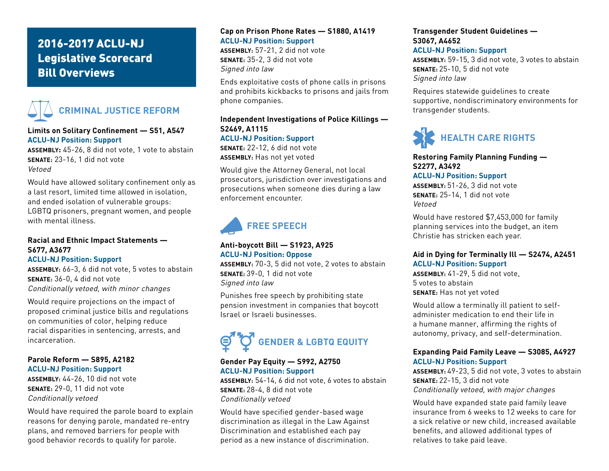### 2016-2017 ACLU-NJ Legislative Scorecard Bill Overviews



#### **Limits on Solitary Confinement — S51, A547 ACLU-NJ Position: Support**

**ASSEMBLY:** 45-26, 8 did not vote, 1 vote to abstain **SENATE:** 23-16, 1 did not vote Vetoed

Would have allowed solitary confinement only as a last resort, limited time allowed in isolation, and ended isolation of vulnerable groups: LGBTQ prisoners, pregnant women, and people with mental illness.

#### **Racial and Ethnic Impact Statements — S677, A3677**

#### **ACLU-NJ Position: Support**

**ASSEMBLY:** 66-3, 6 did not vote, 5 votes to abstain **SENATE:** 36-0, 4 did not vote Conditionally vetoed, with minor changes

Would require projections on the impact of proposed criminal justice bills and regulations on communities of color, helping reduce racial disparities in sentencing, arrests, and incarceration.

#### **Parole Reform — S895, A2182 ACLU-NJ Position: Support**

**ASSEMBLY:** 44-26, 10 did not vote **SENATE:** 29-0, 11 did not vote Conditionally vetoed

Would have required the parole board to explain reasons for denying parole, mandated re-entry plans, and removed barriers for people with good behavior records to qualify for parole.

#### **Cap on Prison Phone Rates — S1880, A1419 ACLU-NJ Position: Support**

**ASSEMBLY:** 57-21, 2 did not vote **SENATE:** 35-2, 3 did not vote Signed into law

Ends exploitative costs of phone calls in prisons and prohibits kickbacks to prisons and jails from phone companies.

#### **Independent Investigations of Police Killings — S2469, A1115 ACLU-NJ Position: Support**

**SENATE:** 22-12, 6 did not vote **ASSEMBLY:** Has not yet voted

Would give the Attorney General, not local prosecutors, jurisdiction over investigations and prosecutions when someone dies during a law enforcement encounter.



#### **Anti-boycott Bill — S1923, A925 ACLU-NJ Position: Oppose**

**ASSEMBLY:** 70-3, 5 did not vote, 2 votes to abstain **SENATE:** 39-0, 1 did not vote Signed into law

Punishes free speech by prohibiting state pension investment in companies that boycott Israel or Israeli businesses.

# **GENDER & LGBTQ EQUITY**

#### **Gender Pay Equity — S992, A2750 ACLU-NJ Position: Support**

**ASSEMBLY:** 54-14, 6 did not vote, 6 votes to abstain **SENATE:** 28-4, 8 did not vote Conditionally vetoed

Would have specified gender-based wage discrimination as illegal in the Law Against Discrimination and established each pay period as a new instance of discrimination.

#### **Transgender Student Guidelines — S3067, A4652**

#### **ACLU-NJ Position: Support**

**ASSEMBLY:** 59-15, 3 did not vote, 3 votes to abstain **SENATE:** 25-10, 5 did not vote Signed into law

Requires statewide guidelines to create supportive, nondiscriminatory environments for transgender students.



#### **Restoring Family Planning Funding — S2277, A3492**

**ACLU-NJ Position: Support**

**ASSEMBLY:** 51-26, 3 did not vote **SENATE:** 25-14, 1 did not vote Vetoed

Would have restored \$7,453,000 for family planning services into the budget, an item Christie has stricken each year.

#### **Aid in Dying for Terminally Ill — S2474, A2451 ACLU-NJ Position: Support**

**ASSEMBLY:** 41-29, 5 did not vote, 5 votes to abstain **SENATE:** Has not yet voted

Would allow a terminally ill patient to selfadminister medication to end their life in a humane manner, affirming the rights of autonomy, privacy, and self-determination.

#### **Expanding Paid Family Leave — S3085, A4927 ACLU-NJ Position: Support**

**ASSEMBLY:** 49-23, 5 did not vote, 3 votes to abstain **SENATE:** 22-15, 3 did not vote Conditionally vetoed, with major changes

Would have expanded state paid family leave insurance from 6 weeks to 12 weeks to care for a sick relative or new child, increased available benefits, and allowed additional types of relatives to take paid leave.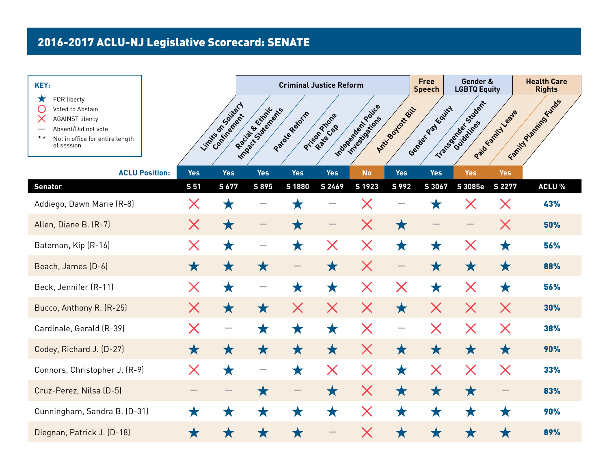| KEY:                                                                                                                                                   |                       |             |                                  |                       | <b>Criminal Justice Reform</b> |                   |                                      |                  | <b>Free</b><br><b>Speech</b> | Gender &<br><b>LGBTQ Equity</b> |                     | <b>Health Care</b><br><b>Rights</b> |
|--------------------------------------------------------------------------------------------------------------------------------------------------------|-----------------------|-------------|----------------------------------|-----------------------|--------------------------------|-------------------|--------------------------------------|------------------|------------------------------|---------------------------------|---------------------|-------------------------------------|
| FOR liberty<br>Х<br>Voted to Abstain<br><b>AGAINST liberty</b><br>Absent/Did not vote<br>$\star\star$<br>Not in office for entire length<br>of session |                       |             | Limits on Society<br>Continement | Impactive transferred | Paraguagement                  | Pricon Prior &    | Independent Police<br>Investigations | Anti-Soutoxy SiL | Gender Pay Equity            | Transportation Sydney           | Paid translationale | Family Planning Funds               |
|                                                                                                                                                        | <b>ACLU Position:</b> | <b>Yes</b>  | <b>Yes</b>                       | <b>Yes</b>            | <b>Yes</b>                     | <b>Yes</b>        | <b>No</b>                            | <b>Yes</b>       | <b>Yes</b>                   | <b>Yes</b>                      | <b>Yes</b>          |                                     |
| <b>Senator</b>                                                                                                                                         |                       | <b>S 51</b> | S 677                            | S 895                 | S 1880                         | S 2469            | S 1923                               | S 992            | $\overline{S}$ 3067          | S 3085e                         | S 2277              | <b>ACLU %</b>                       |
| Addiego, Dawn Marie (R-8)                                                                                                                              |                       | X           | 大                                |                       | 7.7                            |                   |                                      |                  |                              |                                 | X                   | 43%                                 |
| Allen, Diane B. (R-7)                                                                                                                                  |                       | $\times$    | ★                                |                       | $\bigstar$                     |                   | X                                    | $\bigstar$       |                              |                                 | X                   | 50%                                 |
| Bateman, Kip (R-16)                                                                                                                                    |                       | X           | $\bigstar$                       |                       | $\bigstar$                     | $\bm{\mathsf{X}}$ | $\bm{\times}$                        | $\bigstar$       | $\bigstar$                   | ${\bm \times}$                  | $\bigstar$          | 56%                                 |
| Beach, James (D-6)                                                                                                                                     |                       | $\bigstar$  | $\bigstar$                       | $\bigstar$            |                                | $\bigstar$        | $\bm{\times}$                        |                  | $\bigstar$                   | ★                               | $\bigstar$          | 88%                                 |
| Beck, Jennifer (R-11)                                                                                                                                  |                       | X           | ★                                |                       | ★                              | ★                 | $\bm{\times}$                        | X                | ★                            | X                               | ★                   | 56%                                 |
| Bucco, Anthony R. (R-25)                                                                                                                               |                       | X           | $\bigstar$                       | $\bigstar$            | X                              | $\bm{\mathsf{X}}$ | $\bm{\mathsf{X}}$                    | $\bigstar$       | X                            | X                               | X                   | 30%                                 |
| Cardinale, Gerald (R-39)                                                                                                                               |                       | ${\sf X}$   |                                  | ★                     | ★                              | $\bigstar$        | $\bm{\mathsf{X}}$                    | $\qquad \qquad$  | X                            | X                               | X                   | 38%                                 |
| Codey, Richard J. (D-27)                                                                                                                               |                       | $\bigstar$  | $\bigstar$                       | $\bigstar$            | $\bigstar$                     | $\bigstar$        | $\bm{\mathsf{X}}$                    | $\bigstar$       | $\bigstar$                   | $\bigstar$                      | $\bigstar$          | 90%                                 |
| Connors, Christopher J. (R-9)                                                                                                                          |                       | X           | $\bigstar$                       |                       | $\bigstar$                     | $\bm{\mathsf{X}}$ | $\bm{\mathsf{X}}$                    | $\bigstar$       | $\bm{\mathsf{X}}$            | $\bm{\mathsf{X}}$               | $\bm{\mathsf{X}}$   | 33%                                 |
| Cruz-Perez, Nilsa (D-5)                                                                                                                                |                       |             |                                  | $\bigstar$            |                                | $\bigstar$        | $\bm{\mathsf{X}}$                    | $\bigstar$       | $\bigstar$                   | $\bigstar$                      |                     | 83%                                 |
| Cunningham, Sandra B. (D-31)                                                                                                                           |                       | $\bigstar$  | ★                                | ★                     | $\bigstar$                     | $\bigstar$        | $\bm{\mathsf{X}}$                    | $\bigstar$       | ★                            | ★                               | ★                   | 90%                                 |
| Diegnan, Patrick J. (D-18)                                                                                                                             |                       | ★           |                                  |                       | ★                              |                   | X                                    | $\bigstar$       | ★                            | ★                               | ★                   | 89%                                 |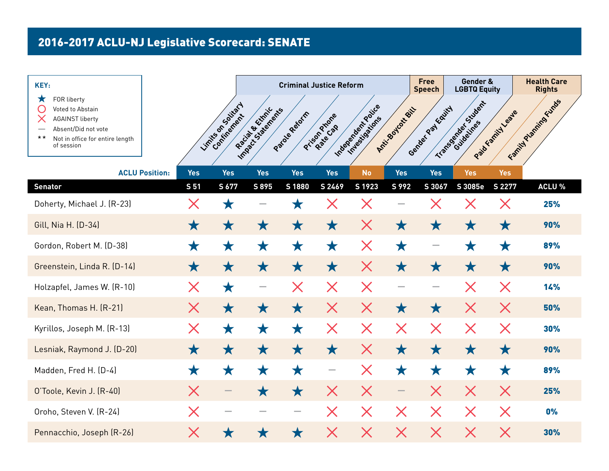| KEY:                                                                                                                                                   |                       |               |                      |                      | <b>Criminal Justice Reform</b> |                          |                                      |                          | <b>Free</b><br><b>Speech</b> | Gender &<br><b>LGBTQ Equity</b> |                   | <b>Health Care</b><br><b>Rights</b> |
|--------------------------------------------------------------------------------------------------------------------------------------------------------|-----------------------|---------------|----------------------|----------------------|--------------------------------|--------------------------|--------------------------------------|--------------------------|------------------------------|---------------------------------|-------------------|-------------------------------------|
| FOR liberty<br>Х<br>Voted to Abstain<br><b>AGAINST liberty</b><br>Absent/Did not vote<br>$\star\star$<br>Not in office for entire length<br>of session |                       |               | Limités os outles de | Impact of Statements | Parague Retain                 | Prison Prone<br>Rate Cap | Independent Police<br>integrisations | Anti-Joodcatchill        | Gender Pay Equity            | Transportations                 | Paid Family Leave | Family Planning Funds               |
|                                                                                                                                                        | <b>ACLU Position:</b> | <b>Yes</b>    | <b>Yes</b>           | <b>Yes</b>           | <b>Yes</b>                     | <b>Yes</b>               | <b>No</b>                            | <b>Yes</b>               | <b>Yes</b>                   | <b>Yes</b>                      | <b>Yes</b>        |                                     |
| <b>Senator</b>                                                                                                                                         |                       | S 51          | S 677                | S 895                | S 1880                         | S 2469                   | S 1923                               | S 992                    | S 3067                       | S 3085e                         | S 2277            | <b>ACLU %</b>                       |
| Doherty, Michael J. (R-23)                                                                                                                             |                       | X             | 大                    |                      | Х                              |                          | X                                    |                          |                              |                                 | X                 | 25%                                 |
| Gill, Nia H. (D-34)                                                                                                                                    |                       | $\bigstar$    | ★                    | Х                    | $\bigstar$                     | ★                        | X                                    | $\bigstar$               | ★                            | ★                               | $\bigstar$        | <b>90%</b>                          |
| Gordon, Robert M. (D-38)                                                                                                                               |                       | $\bigstar$    | ★                    | ★                    | $\bigstar$                     | $\bigstar$               | $\bm{\times}$                        | $\bigstar$               | $\sim$                       | ★                               | $\bigstar$        | 89%                                 |
| Greenstein, Linda R. (D-14)                                                                                                                            |                       | $\bigstar$    | $\bigstar$           | ★                    | $\bigstar$                     | $\bigstar$               | $\bm{\times}$                        | $\bigstar$               | $\bigstar$                   | ★                               | $\bigstar$        | <b>90%</b>                          |
| Holzapfel, James W. (R-10)                                                                                                                             |                       | X             | ★                    | $\hspace{0.05cm}$    | X                              | X                        | $\bm{\mathsf{X}}$                    |                          |                              | X                               | X                 | 14%                                 |
| Kean, Thomas H. (R-21)                                                                                                                                 |                       | $\times$      | $\bigstar$           | $\bigstar$           | $\bigstar$                     | $\times$                 | $\bm{\times}$                        | $\bigstar$               | $\bigstar$                   | $\bm{\mathsf{X}}$               | $\times$          | 50%                                 |
| Kyrillos, Joseph M. (R-13)                                                                                                                             |                       | X             | ★                    | ★                    | $\bigstar$                     | $\bm{\mathsf{X}}$        | $\bm{\times}$                        | $\bm{\mathsf{X}}$        | $\bm{\mathsf{X}}$            | $\bm{\mathsf{X}}$               | $\bm{\mathsf{X}}$ | 30%                                 |
| Lesniak, Raymond J. (D-20)                                                                                                                             |                       | $\bigstar$    | $\bigstar$           | $\bigstar$           | $\bigstar$                     | $\bigstar$               | $\bm{\mathsf{X}}$                    | $\bigstar$               | $\bigstar$                   | $\bigstar$                      | $\bigstar$        | 90%                                 |
| Madden, Fred H. (D-4)                                                                                                                                  |                       | ★             | ★                    | ★                    | $\bigstar$                     | $\hspace{0.05cm}$        | ${\bm \times}$                       | $\bigstar$               | ★                            | ★                               | ★                 | 89%                                 |
| O'Toole, Kevin J. (R-40)                                                                                                                               |                       | $\bm{\times}$ |                      | $\bigstar$           | $\bigstar$                     | X                        | $\bm{\mathsf{X}}$                    | $\overline{\phantom{0}}$ | X                            | $\bm{\mathsf{X}}$               | $\bm{\mathsf{X}}$ | 25%                                 |
| Oroho, Steven V. (R-24)                                                                                                                                |                       | X             |                      |                      | $\sim$                         | $\bm{\mathsf{X}}$        | $\bm{\times}$                        | $\bm{\mathsf{X}}$        | $\bm{\mathsf{X}}$            | $\bm{\times}$                   | $\bm{\mathsf{X}}$ | 0%                                  |
| Pennacchio, Joseph (R-26)                                                                                                                              |                       | X             |                      |                      | $\bigstar$                     | X                        | $\bm{\times}$                        | $\bm{\mathsf{X}}$        | $\bm{\mathsf{X}}$            | $\bm{\times}$                   | ${\sf X}$         | 30%                                 |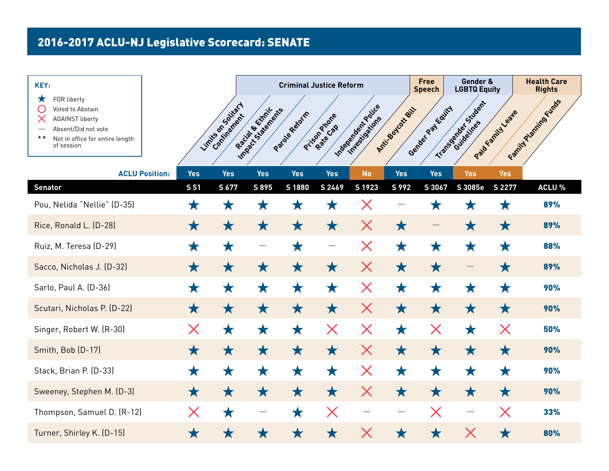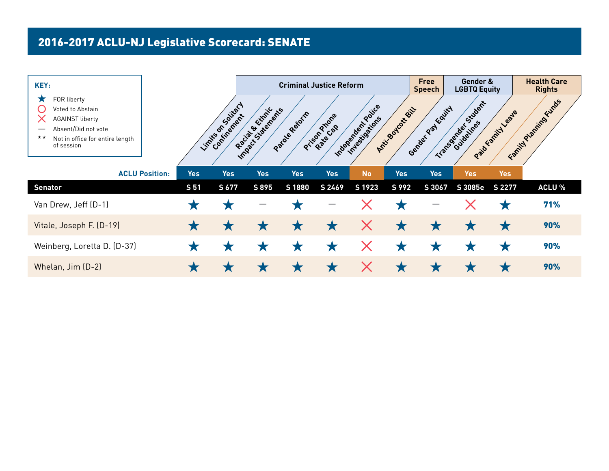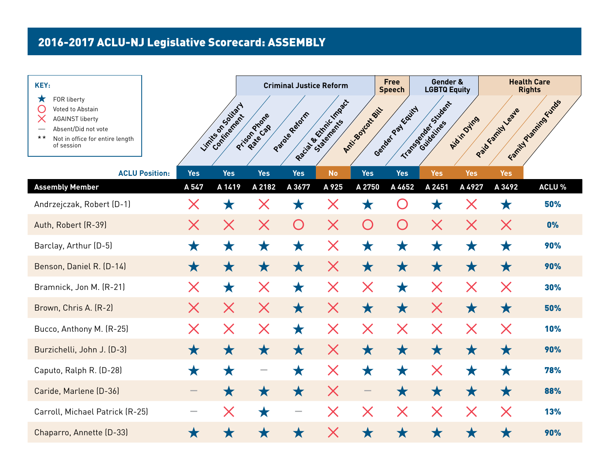| KEY:                                                                                                                                                   |                       |            |                      |                   | <b>Criminal Justice Reform</b> |                        |                   | <b>Free</b><br><b>Speech</b> | Gender &<br><b>LGBTQ Equity</b> |                   |                   | <b>Health Care</b><br><b>Rights</b> |
|--------------------------------------------------------------------------------------------------------------------------------------------------------|-----------------------|------------|----------------------|-------------------|--------------------------------|------------------------|-------------------|------------------------------|---------------------------------|-------------------|-------------------|-------------------------------------|
| FOR liberty<br>Х<br>Voted to Abstain<br><b>AGAINST liberty</b><br>Absent/Did not vote<br>$\star\star$<br>Not in office for entire length<br>of session |                       |            | Limités os outles de | Pricon Prior R    | Paragueratin                   | Racial Beckman Indiana | Anti-Soutoxy SiL  | Gender Pay Kaity             | Transportant Sudent             | Aidin Dying       | Paid Family Leave | Family Planning Funds               |
|                                                                                                                                                        | <b>ACLU Position:</b> | <b>Yes</b> | <b>Yes</b>           | <b>Yes</b>        | <b>Yes</b>                     | <b>No</b>              | <b>Yes</b>        | <b>Yes</b>                   | <b>Yes</b>                      | <b>Yes</b>        | <b>Yes</b>        |                                     |
| <b>Assembly Member</b>                                                                                                                                 |                       | A 547      | A 1419               | A 2182            | A 3677                         | A 925                  | A 2750            | A 4652                       | A 2451                          | A 4927            | A 3492            | <b>ACLU %</b>                       |
| Andrzejczak, Robert (D-1)                                                                                                                              |                       | X          | Х                    |                   | 大                              |                        | Х                 |                              | Ж                               |                   | Х                 | 50%                                 |
| Auth, Robert (R-39)                                                                                                                                    |                       | $\times$   | X                    | $\bm{\times}$     | O                              | X                      | O                 | O                            | X                               | $\bm{\mathsf{X}}$ | $\bm{\mathsf{X}}$ | 0%                                  |
| Barclay, Arthur (D-5)                                                                                                                                  |                       | ★          | $\bigstar$           | $\bigstar$        | ★                              | $\bm{\mathsf{X}}$      | $\bigstar$        | ★                            | $\bigstar$                      | ★                 | ★                 | 90%                                 |
| Benson, Daniel R. (D-14)                                                                                                                               |                       | $\bigstar$ | $\bigstar$           | $\bigstar$        | $\bigstar$                     | $\bm{\mathsf{X}}$      | $\bigstar$        | ★                            | $\bigstar$                      | $\bigstar$        | ★                 | 90%                                 |
| Bramnick, Jon M. (R-21)                                                                                                                                |                       | X          | ★                    | $\bm{\mathsf{X}}$ | ★                              | $\bm{\mathsf{X}}$      | $\bm{\mathsf{X}}$ | ★                            | ${\sf X}$                       | $\bm{\mathsf{X}}$ | X                 | 30%                                 |
| Brown, Chris A. (R-2)                                                                                                                                  |                       | X          | X                    | X                 | $\bigstar$                     | X                      | $\bigstar$        | $\bigstar$                   | X                               | $\bigstar$        | $\bigstar$        | 50%                                 |
| Bucco, Anthony M. (R-25)                                                                                                                               |                       | X          | $\bm{\times}$        | $\bm{\mathsf{X}}$ | $\bigstar$                     | $\bm{\mathsf{X}}$      | $\bm{\mathsf{X}}$ | $\bm{\mathsf{X}}$            | X                               | $\bm{\mathsf{X}}$ | X                 | 10%                                 |
| Burzichelli, John J. (D-3)                                                                                                                             |                       | $\bigstar$ | $\bigstar$           | $\bigstar$        | $\bigstar$                     | $\bm{\mathsf{X}}$      | $\bigstar$        | $\bigstar$                   | $\bigstar$                      | $\bigstar$        | $\bigstar$        | 90%                                 |
| Caputo, Ralph R. (D-28)                                                                                                                                |                       | ★          | $\bigstar$           |                   | ★                              | $\bm{\mathsf{X}}$      | $\bigstar$        | $\bigstar$                   | X                               | $\bigstar$        | ★                 | 78%                                 |
| Caride, Marlene (D-36)                                                                                                                                 |                       |            | ★                    | $\bigstar$        | $\bigstar$                     | $\bm{\times}$          |                   | $\bigstar$                   | $\bigstar$                      | $\bigstar$        | $\bigstar$        | 88%                                 |
| Carroll, Michael Patrick (R-25)                                                                                                                        |                       |            | X                    | $\bigstar$        |                                | X                      | X                 | ${\bm \times}$               | $\bm{\mathsf{X}}$               | $\bm{\mathsf{X}}$ | ${\bm \times}$    | 13%                                 |
| Chaparro, Annette (D-33)                                                                                                                               |                       | ★          |                      | Х                 | ★                              | X                      | ★                 | ★                            | ★                               | ★                 | ★                 | 90%                                 |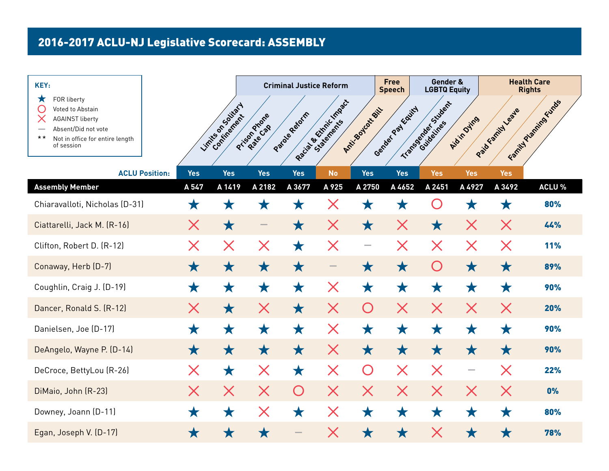| KEY:                                                                                                                                                   |                       |                   |                     |                   | <b>Criminal Justice Reform</b> |                         |                          | <b>Free</b><br><b>Speech</b> | Gender &<br><b>LGBTQ Equity</b> |                   |                     | <b>Health Care</b><br><b>Rights</b> |
|--------------------------------------------------------------------------------------------------------------------------------------------------------|-----------------------|-------------------|---------------------|-------------------|--------------------------------|-------------------------|--------------------------|------------------------------|---------------------------------|-------------------|---------------------|-------------------------------------|
| FOR liberty<br>Х<br>Voted to Abstain<br><b>AGAINST liberty</b><br>Absent/Did not vote<br>$\star\star$<br>Not in office for entire length<br>of session |                       |                   | Limités os outraits | Prison Priorie    | Paraguagement                  | Racial Britainic Impact | Anti-Soutoxy SiL         | Gender Pay Equity            | Transportation Sudent           | Aidin Dying       | Paid translationale | Family Planning Funds               |
|                                                                                                                                                        | <b>ACLU Position:</b> | <b>Yes</b>        | <b>Yes</b>          | <b>Yes</b>        | <b>Yes</b>                     | <b>No</b>               | <b>Yes</b>               | <b>Yes</b>                   | <b>Yes</b>                      | <b>Yes</b>        | <b>Yes</b>          |                                     |
| <b>Assembly Member</b>                                                                                                                                 |                       | A 547             | A 1419              | A 2182            | A 3677                         | A 925                   | A 2750                   | A 4652                       | A 2451                          | A 4927            | A 3492              | <b>ACLU %</b>                       |
| Chiaravalloti, Nicholas (D-31)                                                                                                                         |                       | ★                 |                     | Ж                 | Х                              | Х                       | $\mathbf{L}$             | Х                            |                                 |                   | Х                   | 80%                                 |
| Ciattarelli, Jack M. (R-16)                                                                                                                            |                       | $\bm{\times}$     | $\bigstar$          |                   | $\bigstar$                     | X                       | $\bigstar$               | ${\bm \times}$               | $\bigstar$                      | $\bm{\mathsf{X}}$ | $\bm{\mathsf{X}}$   | 44%                                 |
| Clifton, Robert D. (R-12)                                                                                                                              |                       | X                 | $\bm{\times}$       | X                 | $\bigstar$                     | $\bm{\mathsf{X}}$       | $\overline{\phantom{0}}$ | ${\bm \times}$               | $\bm{\mathsf{X}}$               | $\bm{\mathsf{X}}$ | $\bm{\mathsf{X}}$   | <b>11%</b>                          |
| Conaway, Herb (D-7)                                                                                                                                    |                       | $\bigstar$        | $\bigstar$          | $\bigstar$        | $\bigstar$                     |                         | ★                        | $\bigstar$                   | O                               | $\bigstar$        | $\bigstar$          | 89%                                 |
| Coughlin, Craig J. (D-19)                                                                                                                              |                       | ★                 | $\bigstar$          | ★                 | ★                              | $\bm{\mathsf{X}}$       | $\bigstar$               | ★                            | $\bigstar$                      | ★                 | ★                   | 90%                                 |
| Dancer, Ronald S. (R-12)                                                                                                                               |                       | $\bm{\times}$     | $\bigstar$          | X                 | $\bigstar$                     | X                       | O                        | X                            | X                               | $\bm{\mathsf{X}}$ | $\bm{\mathsf{X}}$   | 20%                                 |
| Danielsen, Joe (D-17)                                                                                                                                  |                       | ★                 | ★                   | $\bigstar$        | ★                              | X                       | ★                        | ★                            | ★                               | ★                 | ★                   | 90%                                 |
| DeAngelo, Wayne P. (D-14)                                                                                                                              |                       | $\bigstar$        | $\bigstar$          | $\bigstar$        | $\bigstar$                     | $\bm{\times}$           | $\bigstar$               | $\bigstar$                   | $\bigstar$                      | $\bigstar$        | $\bigstar$          | 90%                                 |
| DeCroce, BettyLou (R-26)                                                                                                                               |                       | $\bm{\mathsf{X}}$ | $\bigstar$          | $\bm{\mathsf{X}}$ | $\bigstar$                     | $\bm{\times}$           | $\bigcirc$               | ${\bm \times}$               | $\bm{\times}$                   | $\qquad \qquad$   | ${\bm \times}$      | 22%                                 |
| DiMaio, John (R-23)                                                                                                                                    |                       | $\times$          | $\bm{\mathsf{X}}$   | $\bm{\times}$     | $\bigcirc$                     | $\bm{\mathsf{X}}$       | $\bm{\mathsf{X}}$        | $\bm{\mathsf{X}}$            | $\bm{\mathsf{X}}$               | $\bm{\mathsf{X}}$ | $\bm{\mathsf{X}}$   | 0%                                  |
| Downey, Joann (D-11)                                                                                                                                   |                       | $\bigstar$        | $\bigstar$          | $\bm{\times}$     | $\bigstar$                     | $\bm{\times}$           | $\bigstar$               | ★                            | $\bigstar$                      | ★                 | $\bigstar$          | 80%                                 |
| Egan, Joseph V. (D-17)                                                                                                                                 |                       | ★                 | ★                   | ★                 |                                | $\bm{\mathsf{X}}$       | ★                        | $\bigstar$                   | $\bm{\mathsf{X}}$               | ★                 | ★                   | 78%                                 |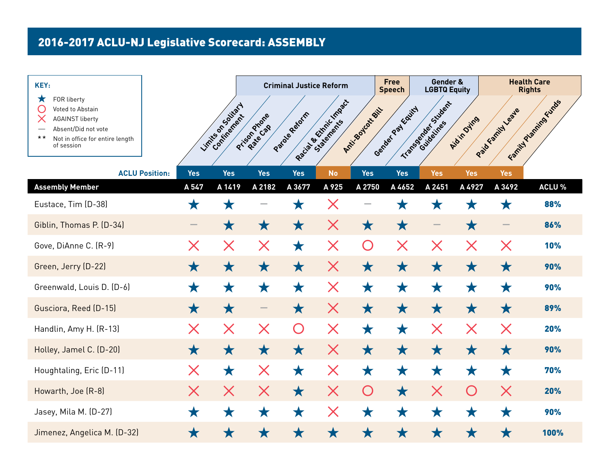| KEY:                                                                                                                                                   |                       |            |                      |                   | <b>Criminal Justice Reform</b> |                        |                  | <b>Free</b><br><b>Speech</b> | Gender &<br><b>LGBTQ Equity</b> |                   |                   | <b>Health Care</b><br><b>Rights</b> |
|--------------------------------------------------------------------------------------------------------------------------------------------------------|-----------------------|------------|----------------------|-------------------|--------------------------------|------------------------|------------------|------------------------------|---------------------------------|-------------------|-------------------|-------------------------------------|
| FOR liberty<br>Х<br>Voted to Abstain<br><b>AGAINST liberty</b><br>Absent/Did not vote<br>$\star\star$<br>Not in office for entire length<br>of session |                       |            | Limités os outles de | Pricon Prior R    | Paragueratin                   | Racial Bettinic Impact | Anti-Soutoxy SiL | Gender Pay Kaity             | Transportation.                 | Aidin Dying       | Paid Kamily Leave | Family Planning Funds               |
|                                                                                                                                                        | <b>ACLU Position:</b> | <b>Yes</b> | <b>Yes</b>           | <b>Yes</b>        | <b>Yes</b>                     | <b>No</b>              | <b>Yes</b>       | <b>Yes</b>                   | <b>Yes</b>                      | <b>Yes</b>        | <b>Yes</b>        |                                     |
| <b>Assembly Member</b>                                                                                                                                 |                       | A 547      | A 1419               | A 2182            | A 3677                         | A 925                  | A 2750           | A 4652                       | A 2451                          | A 4927            | A 3492            | <b>ACLU %</b>                       |
| Eustace, Tim (D-38)                                                                                                                                    |                       | Х          | Х                    |                   | Х                              | Х                      |                  | 7.3                          |                                 |                   | Х                 | 88%                                 |
| Giblin, Thomas P. (D-34)                                                                                                                               |                       |            | ★                    | $\bigstar$        | $\bigstar$                     | Х                      | $\bigstar$       | $\bigstar$                   |                                 | $\bigstar$        |                   | 86%                                 |
| Gove, DiAnne C. (R-9)                                                                                                                                  |                       | X          | $\bm{\mathsf{X}}$    | $\bm{\mathsf{X}}$ | $\bigstar$                     | $\bm{\mathsf{X}}$      | O                | ${\bm \times}$               | $\bm{\mathsf{X}}$               | $\bm{\times}$     | $\bm{\mathsf{X}}$ | 10%                                 |
| Green, Jerry (D-22)                                                                                                                                    |                       | $\bigstar$ | $\bigstar$           | $\bigstar$        | $\bigstar$                     | $\bm{\mathsf{X}}$      | ★                | $\bigstar$                   | $\bigstar$                      | ★                 | ★                 | 90%                                 |
| Greenwald, Louis D. (D-6)                                                                                                                              |                       | ★          | ★                    | ★                 | ★                              | $\bm{\mathsf{X}}$      | ★                | ★                            | ★                               | ★                 | ★                 | 90%                                 |
| Gusciora, Reed (D-15)                                                                                                                                  |                       | $\bigstar$ | $\bigstar$           |                   | $\bigstar$                     | X                      | $\bigstar$       | $\bigstar$                   | $\bigstar$                      | $\bigstar$        | $\bigstar$        | 89%                                 |
| Handlin, Amy H. (R-13)                                                                                                                                 |                       | X          | $\bm{\times}$        | X                 | $\bigcirc$                     | $\bm{\mathsf{X}}$      | ★                | ★                            | $\bm{\mathsf{X}}$               | $\bm{\mathsf{X}}$ | ${\bm \times}$    | 20%                                 |
| Holley, Jamel C. (D-20)                                                                                                                                |                       | $\bigstar$ | $\bigstar$           | $\bigstar$        | $\bigstar$                     | $\bm{\mathsf{X}}$      | ★                | $\bigstar$                   | $\bigstar$                      | ★                 | $\bigstar$        | 90%                                 |
| Houghtaling, Eric (D-11)                                                                                                                               |                       | X          | $\bigstar$           | $\bm{\mathsf{X}}$ | $\bigstar$                     | $\bm{\mathsf{X}}$      | $\bigstar$       | $\bigstar$                   | $\bigstar$                      | $\bigstar$        | $\bigstar$        | 70%                                 |
| Howarth, Joe (R-8)                                                                                                                                     |                       | $\times$   | $\bm{\mathsf{X}}$    | $\bm{\mathsf{X}}$ | $\bigstar$                     | X                      | $\bigcirc$       | $\bigstar$                   | $\bm{\mathsf{X}}$               | O                 | $\bm{\mathsf{X}}$ | 20%                                 |
| Jasey, Mila M. (D-27)                                                                                                                                  |                       | $\bigstar$ | $\bigstar$           | $\bigstar$        | ★                              | $\bm{\mathsf{X}}$      | $\bigstar$       | ★                            | $\bigstar$                      | ★                 | ★                 | 90%                                 |
| Jimenez, Angelica M. (D-32)                                                                                                                            |                       | $\bigstar$ | ★                    | ★                 | ★                              | ★                      | ★                | ★                            | ★                               | ★                 | ★                 | 100%                                |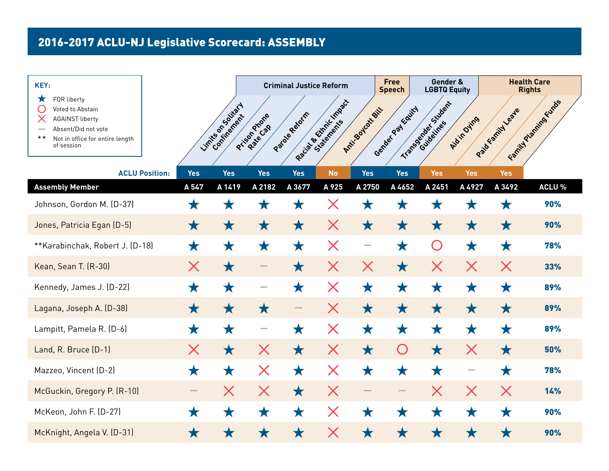| KEY:                                                                                                                                                   |                          |                      |                           | <b>Criminal Justice Reform</b> |                               |                   | <b>Free</b><br><b>Speech</b> | Gender &<br><b>LGBTQ Equity</b> |                   |                   | <b>Health Care</b><br><b>Rights</b> |
|--------------------------------------------------------------------------------------------------------------------------------------------------------|--------------------------|----------------------|---------------------------|--------------------------------|-------------------------------|-------------------|------------------------------|---------------------------------|-------------------|-------------------|-------------------------------------|
| FOR liberty<br>Х<br>Voted to Abstain<br><b>AGAINST liberty</b><br>Absent/Did not vote<br>$\star\star$<br>Not in office for entire length<br>of session |                          | Limités os outles de | Prison Priore<br>Rate Cap | Paragueratin                   | Recibius de Childrenies de la | Anti-Soutoxy      | Gender Pay Equity            | Transportant Sudent             | Aidin Dying       | Paid Family Leave | Family Planning Funds               |
| <b>ACLU Position:</b>                                                                                                                                  | <b>Yes</b>               | <b>Yes</b>           | <b>Yes</b>                | <b>Yes</b>                     | <b>No</b>                     | <b>Yes</b>        | <b>Yes</b>                   | <b>Yes</b>                      | <b>Yes</b>        | <b>Yes</b>        |                                     |
| <b>Assembly Member</b>                                                                                                                                 | A 547                    | A 1419               | A 2182                    | A 3677                         | A 925                         | A 2750            | A 4652                       | A 2451                          | A 4927            | A 3492            | ACLU %                              |
| Johnson, Gordon M. (D-37)                                                                                                                              | Х                        |                      | 7. 0                      | X                              | Х                             | Ж                 | Ж                            |                                 |                   | Ж                 | 90%                                 |
| Jones, Patricia Egan (D-5)                                                                                                                             | $\bigstar$               | $\bigstar$           | $\bigstar$                | $\bigstar$                     | X                             | $\bigstar$        | ★                            | $\bigstar$                      | ★                 | $\bigstar$        | 90%                                 |
| **Karabinchak, Robert J. (D-18)                                                                                                                        | $\bigstar$               | ★                    | ★                         | $\bigstar$                     | $\bm{\mathsf{X}}$             | $\sim$            | ★                            | $\bigcirc$                      | ★                 | ★                 | 78%                                 |
| Kean, Sean T. (R-30)                                                                                                                                   | X                        | $\bigstar$           |                           | $\bigstar$                     | X                             | $\bm{\mathsf{X}}$ | $\bigstar$                   | $\bm{\mathsf{X}}$               | $\bm{\mathsf{X}}$ | ${\bm \times}$    | 33%                                 |
| Kennedy, James J. (D-22)                                                                                                                               | ★                        | ★                    |                           | $\bigstar$                     | $\bm{\times}$                 | $\bigstar$        | ★                            | ★                               | ★                 | ★                 | 89%                                 |
| Lagana, Joseph A. (D-38)                                                                                                                               | $\bigstar$               | ★                    | $\bigstar$                |                                | $\bm{\times}$                 | $\bigstar$        | $\bigstar$                   | ★                               | ★                 | $\bigstar$        | 89%                                 |
| Lampitt, Pamela R. (D-6)                                                                                                                               | ★                        | ★                    |                           | ★                              | $\bm{\mathsf{X}}$             | $\bigstar$        | ★                            | $\bigstar$                      | ★                 | ★                 | 89%                                 |
| Land, R. Bruce (D-1)                                                                                                                                   | X                        | $\bigstar$           | $\bm{\mathsf{X}}$         | $\bigstar$                     | $\bm{\mathsf{X}}$             | $\bigstar$        | O                            | $\bigstar$                      | $\bm{\mathsf{X}}$ | $\bigstar$        | 50%                                 |
| Mazzeo, Vincent (D-2)                                                                                                                                  | $\bigstar$               | $\bigstar$           | $\bm{\times}$             | $\bigstar$                     | $\bm{\times}$                 | $\bigstar$        | ★                            | $\bigstar$                      |                   | ★                 | 78%                                 |
| McGuckin, Gregory P. (R-10)                                                                                                                            | $\overline{\phantom{0}}$ | $\bm{\times}$        | $\bm{\times}$             | $\bigstar$                     | $\bm{\mathsf{X}}$             |                   | $\overline{\phantom{a}}$     | $\bm{\times}$                   | $\bm{\times}$     | $\bm{\mathsf{X}}$ | 14%                                 |
| McKeon, John F. (D-27)                                                                                                                                 | ★                        | $\bigstar$           | $\bigstar$                | $\bigstar$                     | $\bm{\times}$                 | ★                 | ★                            | ★                               | ★                 | ★                 | 90%                                 |
| McKnight, Angela V. (D-31)                                                                                                                             | ★                        | Х                    | Х                         | ★                              | X                             | ★                 | ★                            | Х                               | Х                 | ★                 | 90%                                 |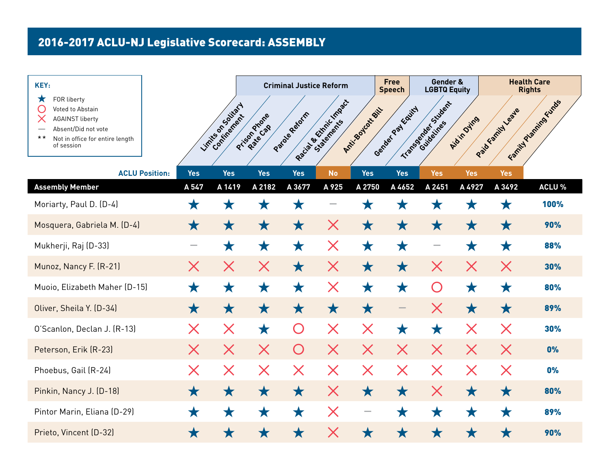| KEY:                                                                                                                                                             |               |                                  |                           | <b>Criminal Justice Reform</b> |                         |                   | <b>Free</b><br><b>Speech</b> | Gender &<br><b>LGBTQ Equity</b> |                   |                   | <b>Health Care</b><br><b>Rights</b> |
|------------------------------------------------------------------------------------------------------------------------------------------------------------------|---------------|----------------------------------|---------------------------|--------------------------------|-------------------------|-------------------|------------------------------|---------------------------------|-------------------|-------------------|-------------------------------------|
| FOR liberty<br>$\mathbf x$<br>Voted to Abstain<br><b>AGAINST liberty</b><br>Absent/Did not vote<br>$\star\star$<br>Not in office for entire length<br>of session |               | Limits on Society<br>Continement | Prison Priore<br>Rate Cap | Paragueratin                   | Racial Britainic Impact | Anti-Soutoxy SiL  | Gender Pay Equity            | Transportation Sudent           | Aidin Dying       | Paid Kamily Leave | Family Planning Funds               |
| <b>ACLU Position:</b>                                                                                                                                            | <b>Yes</b>    | <b>Yes</b>                       | <b>Yes</b>                | <b>Yes</b>                     | <b>No</b>               | <b>Yes</b>        | <b>Yes</b>                   | <b>Yes</b>                      | <b>Yes</b>        | <b>Yes</b>        |                                     |
| <b>Assembly Member</b>                                                                                                                                           | A 547         | A 1419                           | A 2182                    | A 3677                         | A 925                   | A 2750            | A 4652                       | A 2451                          | A 4927            | A 3492            | <b>ACLU %</b>                       |
| Moriarty, Paul D. (D-4)                                                                                                                                          | Х             |                                  | Ж                         | Х                              |                         | Ж                 | 7.3                          |                                 |                   | ZК                | 100%                                |
| Mosquera, Gabriela M. (D-4)                                                                                                                                      | $\bigstar$    | $\bigstar$                       | $\bigstar$                | $\bigstar$                     | X                       | $\bigstar$        | $\bigstar$                   | ★                               | ★                 | $\bigstar$        | 90%                                 |
| Mukherji, Raj (D-33)                                                                                                                                             |               | $\bigstar$                       | $\bigstar$                | $\bigstar$                     | $\bm{\mathsf{X}}$       | $\bigstar$        | $\bigstar$                   |                                 | ★                 | $\bigstar$        | 88%                                 |
| Munoz, Nancy F. (R-21)                                                                                                                                           | X             | $\bm{\mathsf{X}}$                | $\bm{\times}$             | $\bigstar$                     | $\bm{\mathsf{X}}$       | $\bigstar$        | $\bigstar$                   | X                               | $\bm{\times}$     | $\bm{\times}$     | 30%                                 |
| Muoio, Elizabeth Maher (D-15)                                                                                                                                    | ★             | ★                                | ★                         | ★                              | $\bm{\mathsf{X}}$       | ★                 | ★                            | $\bigcirc$                      | ★                 | ★                 | 80%                                 |
| Oliver, Sheila Y. (D-34)                                                                                                                                         | $\bigstar$    | $\bigstar$                       | $\bigstar$                | $\bigstar$                     | $\bigstar$              | $\bigstar$        |                              | $\bm{\times}$                   | $\bigstar$        | ★                 | 89%                                 |
| O'Scanlon, Declan J. (R-13)                                                                                                                                      | X             | $\bm{\times}$                    | $\bigstar$                | $\bigcap$                      | $\bm{\mathsf{X}}$       | $\bm{\mathsf{X}}$ | ★                            | $\bigstar$                      | $\bm{\mathsf{X}}$ | $\bm{\mathsf{X}}$ | 30%                                 |
| Peterson, Erik (R-23)                                                                                                                                            | $\bm{\times}$ | $\bm{\times}$                    | $\bm{\mathsf{X}}$         | O                              | $\bm{\mathsf{X}}$       | $\bm{\mathsf{X}}$ | $\bm{\mathsf{X}}$            | $\bm{\mathsf{X}}$               | $\bm{\mathsf{X}}$ | $\times$          | 0%                                  |
| Phoebus, Gail (R-24)                                                                                                                                             | X             | $\bm{\mathsf{X}}$                | $\bm{\mathsf{X}}$         | $\bm{\mathsf{X}}$              | $\bm{\mathsf{X}}$       | $\bm{\mathsf{X}}$ | $\bm{\mathsf{X}}$            | $\bm{\mathsf{X}}$               | $\bm{\mathsf{X}}$ | $\bm{\mathsf{X}}$ | 0%                                  |
| Pinkin, Nancy J. (D-18)                                                                                                                                          | $\bigstar$    | $\bigstar$                       | $\bigstar$                | $\bigstar$                     | X                       | $\bigstar$        | $\bigstar$                   | X                               | $\bigstar$        | $\bigstar$        | 80%                                 |
| Pintor Marin, Eliana (D-29)                                                                                                                                      | $\bigstar$    | $\bigstar$                       | $\bigstar$                | $\bigstar$                     | $\bm{\mathsf{X}}$       |                   | ★                            | ★                               | ★                 | $\bigstar$        | 89%                                 |
| Prieto, Vincent (D-32)                                                                                                                                           | ★             | Х                                | Х                         | ★                              | X                       | Х                 | ★                            | ★                               | Х                 | ★                 | 90%                                 |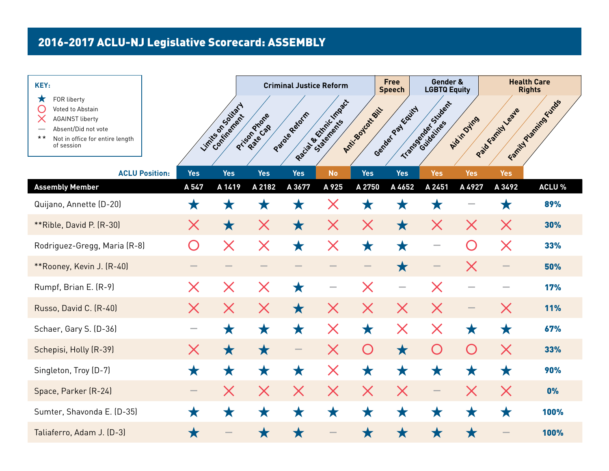| KEY:                                                                                                                                                   |            |                     |                           | <b>Criminal Justice Reform</b> |                         |                   | <b>Free</b><br><b>Speech</b> | Gender &<br><b>LGBTQ Equity</b> |                   |                   | <b>Health Care</b><br><b>Rights</b> |
|--------------------------------------------------------------------------------------------------------------------------------------------------------|------------|---------------------|---------------------------|--------------------------------|-------------------------|-------------------|------------------------------|---------------------------------|-------------------|-------------------|-------------------------------------|
| FOR liberty<br>Х<br>Voted to Abstain<br><b>AGAINST liberty</b><br>Absent/Did not vote<br>$\star\star$<br>Not in office for entire length<br>of session |            | Limités os outraits | Prison Priore<br>Rate Cap | Paraguagent                    | Racial Britainic Impact | Anti-Soutoxy SiL  | Gender Pay Equity            | Transportant Student            | Aidin Ovins       | Paid Kamily Leave | Family Planning Funds               |
| <b>ACLU Position:</b>                                                                                                                                  | <b>Yes</b> | <b>Yes</b>          | <b>Yes</b>                | <b>Yes</b>                     | <b>No</b>               | <b>Yes</b>        | <b>Yes</b>                   | <b>Yes</b>                      | <b>Yes</b>        | <b>Yes</b>        |                                     |
| <b>Assembly Member</b>                                                                                                                                 | A 547      | A 1419              | A 2182                    | A 3677                         | A 925                   | A 2750            | A 4652                       | A 2451                          | A 4927            | A 3492            | <b>ACLU %</b>                       |
| Quijano, Annette (D-20)                                                                                                                                | Х          |                     | ZК                        | Х                              | Х                       | Х                 | Х                            | Х                               |                   | Х                 | 89%                                 |
| **Rible, David P. (R-30)                                                                                                                               | $\times$   | $\bigstar$          | $\bm{\mathsf{X}}$         | $\bigstar$                     | X                       | X                 | $\bigstar$                   | X                               | $\bm{\times}$     | X                 | 30%                                 |
| Rodriguez-Gregg, Maria (R-8)                                                                                                                           | $\bigcap$  | $\bm{\mathsf{X}}$   | $\bm{\times}$             | $\bigstar$                     | $\bm{\mathsf{X}}$       | $\bigstar$        | ★                            |                                 | $\bigcap$         | ${\bm \times}$    | 33%                                 |
| **Rooney, Kevin J. (R-40)                                                                                                                              |            |                     |                           |                                |                         |                   | ★                            |                                 | $\bm{\mathsf{X}}$ |                   | 50%                                 |
| Rumpf, Brian E. (R-9)                                                                                                                                  | X          | X                   | $\bm{\mathsf{X}}$         | ★                              |                         | $\bm{\times}$     | -                            | X                               |                   |                   | 17%                                 |
| Russo, David C. (R-40)                                                                                                                                 | X          | X                   | X                         | $\bigstar$                     | X                       | $\bm{\mathsf{X}}$ | $\bm{\mathsf{X}}$            | X                               |                   | X                 | <b>11%</b>                          |
| Schaer, Gary S. (D-36)                                                                                                                                 |            | ★                   | $\bigstar$                | ★                              | $\bm{\mathsf{X}}$       | ★                 | X                            | $\bm{\times}$                   | ★                 | $\bigstar$        | 67%                                 |
| Schepisi, Holly (R-39)                                                                                                                                 | $\times$   | $\bigstar$          | $\bigstar$                |                                | $\bm{\mathsf{X}}$       | $\bigcirc$        | $\bigstar$                   | $\bigcirc$                      | $\bigcirc$        | $\bm{\mathsf{X}}$ | 33%                                 |
| Singleton, Troy (D-7)                                                                                                                                  | $\bigstar$ | $\bigstar$          | $\bigstar$                | $\bigstar$                     | $\bm{\times}$           | $\bigstar$        | ★                            | $\bigstar$                      | $\bigstar$        | ★                 | 90%                                 |
| Space, Parker (R-24)                                                                                                                                   | -          | X                   | $\bm{\mathsf{X}}$         | $\bm{\mathsf{X}}$              | $\bm{\mathsf{X}}$       | $\bm{\mathsf{X}}$ | $\bm{\mathsf{X}}$            | $\overline{\phantom{0}}$        | $\bm{\mathsf{X}}$ | $\bm{\mathsf{X}}$ | 0%                                  |
| Sumter, Shavonda E. (D-35)                                                                                                                             | $\bigstar$ | ★                   | $\bigstar$                | $\bigstar$                     | ★                       | ★                 | ★                            | ★                               | ★                 | ★                 | 100%                                |
| Taliaferro, Adam J. (D-3)                                                                                                                              | ★          |                     | ★                         | ★                              |                         | ★                 | ★                            | ★                               | ★                 |                   | 100%                                |